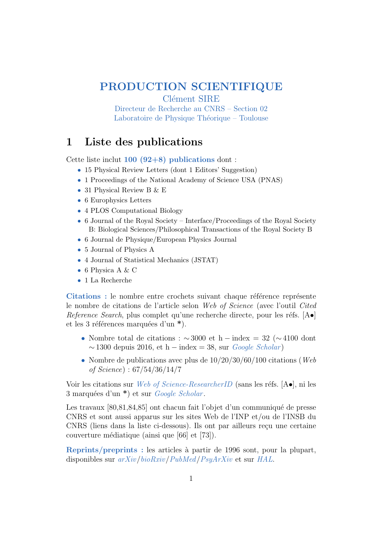# PRODUCTION SCIENTIFIQUE

Clément SIRE

Directeur de Recherche au CNRS – Section 02 Laboratoire de Physique Théorique – Toulouse

## 1 Liste des publications

Cette liste inclut  $100 (92+8)$  publications dont:

- 15 Physical Review Letters (dont 1 Editors' Suggestion)
- 1 Proceedings of the National Academy of Science USA (PNAS)
- 31 Physical Review B & E
- 6 Europhysics Letters
- 4 PLOS Computational Biology
- 6 Journal of the Royal Society Interface/Proceedings of the Royal Society B: Biological Sciences/Philosophical Transactions of the Royal Society B
- 6 Journal de Physique/European Physics Journal
- 5 Journal of Physics A
- 4 Journal of Statistical Mechanics (JSTAT)
- 6 Physica A & C
- 1 La Recherche

Citations : le nombre entre crochets suivant chaque référence représente le nombre de citations de l'article selon Web of Science (avec l'outil Cited Reference Search, plus complet qu'une recherche directe, pour les réfs.  $[A\bullet]$ et les 3 références marquées d'un  $*$ ).

- Nombre total de citations :  $\sim$  3000 et h − index = 32 ( $\sim$  4100 dont  $\sim$  1300 depuis 2016, et h – index = 38, sur *[Google Scholar](http://scholar.google.com/citations?user=TjUHxh4AAAAJ&hl=en)*)
- Nombre de publications avec plus de  $10/20/30/60/100$  citations (*Web*) of Science) : 67/54/36/14/7

Voir les citations sur *[Web of Science-ResearcherID](https://publons.com/researcher/3089847/clement-sire/publications/)* (sans les réfs.  $[A\bullet]$ , ni les 3 marquées d'un  $\ast$ ) et sur *[Google Scholar](http://scholar.google.com/citations?user=TjUHxh4AAAAJ&hl=en)*.

Les travaux  $[80,81,84,85]$  ont chacun fait l'objet d'un communiqué de presse CNRS et sont aussi apparus sur les sites Web de l'INP et/ou de l'INSB du CNRS (liens dans la liste ci-dessous). Ils ont par ailleurs reçu une certaine couverture médiatique (ainsi que [66] et [73]).

Reprints/preprints : les articles à partir de 1996 sont, pour la plupart, disponibles sur [arXiv](https://arxiv.org/search/advanced?advanced=1&terms-0-operator=AND&terms-0-term=Sire%2C+C&terms-0-field=author&classification-physics=y&classification-physics_archives=all&classification-q_biology=y&classification-include_cross_list=include&date-filter_by=all_dates&date-year=&date-from_date=&date-to_date=&date-date_type=submitted_date&abstracts=show&size=100&order=-announced_date_first)/[bioRxiv](https://www.biorxiv.org/search/author1%3Asire%2Bc%252A%20jcode%3Amedrxiv%7C%7Cbiorxiv%20numresults%3A10%20sort%3Arelevance-rank%20format_result%3Astandard)/[PubMed](https://pubmed.ncbi.nlm.nih.gov/?term=Sire%2C+Clement%5BAuthor%5D)/[PsyArXiv](https://psyarxiv.com/discover?q=Cl%C3%A9ment%20Sire) et sur [HAL](https://hal.archives-ouvertes.fr/search/index/?q=%2A&authFullName_s=Cl%C3%A9ment+Sire&sort=producedDate_tdate+desc).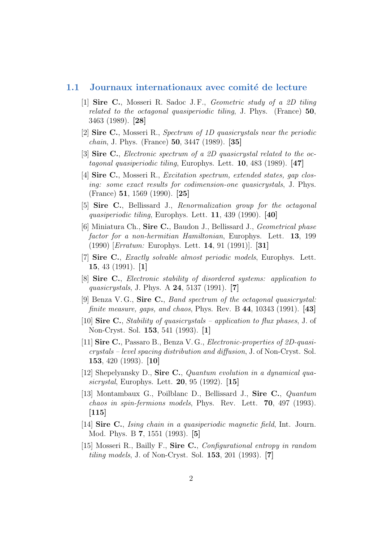#### 1.1 Journaux internationaux avec comité de lecture

- [1] Sire C., Mosseri R. Sadoc J. F., Geometric study of a 2D tiling related to the octagonal quasiperiodic tiling, J. Phys. (France) 50, 3463 (1989). [28]
- [2] Sire C., Mosseri R., Spectrum of 1D quasicrystals near the periodic *chain*, J. Phys. (France)  $50, 3447$  (1989). [35]
- [3] Sire C., Electronic spectrum of a 2D quasicrystal related to the octagonal quasiperiodic tiling, Europhys. Lett.  $10, 483$  (1989). [47]
- [4] Sire C., Mosseri R., Excitation spectrum, extended states, gap closing: some exact results for codimension-one quasicrystals, J. Phys. (France) 51, 1569 (1990). [25]
- [5] Sire C., Bellissard J., Renormalization group for the octagonal quasiperiodic tiling, Europhys. Lett. **11**, 439 (1990). [40]
- [6] Miniatura Ch., Sire C., Baudon J., Bellissard J., Geometrical phase factor for a non-hermitian Hamiltonian, Europhys. Lett. 13, 199 (1990) [Erratum: Europhys. Lett. 14, 91 (1991)]. [31]
- [7] Sire C., *Exactly solvable almost periodic models*, Europhys. Lett. 15, 43 (1991). [1]
- [8] Sire C., Electronic stability of disordered systems: application to quasicrystals, J. Phys. A 24, 5137 (1991). [7]
- [9] Benza V. G., Sire C., Band spectrum of the octagonal quasicrystal: *finite measure, gaps, and chaos, Phys. Rev. B* 44, 10343 (1991). [43]
- [10] Sire C., Stability of quasicrystals application to flux phases, J. of Non-Cryst. Sol. 153, 541 (1993). [1]
- [11] Sire C., Passaro B., Benza V. G., Electronic-properties of 2D-quasicrystals – level spacing distribution and diffusion, J. of Non-Cryst. Sol. 153, 420 (1993). [10]
- [12] Shepelyansky D., Sire C., Quantum evolution in a dynamical quasicrystal, Europhys. Lett. 20, 95 (1992). [15]
- [13] Montambaux G., Poilblanc D., Bellissard J., Sire C., Quantum chaos in spin-fermions models, Phys. Rev. Lett. 70, 497 (1993).  $[115]$
- [14] **Sire C.**, *Ising chain in a quasiperiodic magnetic field*, Int. Journ. Mod. Phys. B 7, 1551 (1993). [5]
- [15] Mosseri R., Bailly F., Sire C., Configurational entropy in random tiling models, J. of Non-Cryst. Sol. 153, 201 (1993). [7]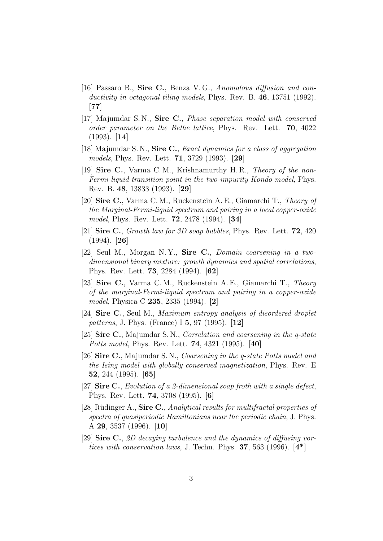- [16] Passaro B., Sire C., Benza V. G., Anomalous diffusion and conductivity in octagonal tiling models, Phys. Rev. B. 46, 13751 (1992). [77]
- [17] Majumdar S. N., Sire C., Phase separation model with conserved order parameter on the Bethe lattice, Phys. Rev. Lett. 70, 4022 (1993). [14]
- [18] Majumdar S.N., Sire C., *Exact dynamics for a class of aggregation* models, Phys. Rev. Lett. 71, 3729 (1993). [29]
- [19] Sire C., Varma C. M., Krishnamurthy H. R., Theory of the non-Fermi-liquid transition point in the two-impurity Kondo model, Phys. Rev. B. 48, 13833 (1993). [29]
- [20] Sire C., Varma C. M., Ruckenstein A. E., Giamarchi T., Theory of the Marginal-Fermi-liquid spectrum and pairing in a local copper-oxide model, Phys. Rev. Lett. 72, 2478 (1994). [34]
- [21] Sire C., Growth law for 3D soap bubbles, Phys. Rev. Lett. **72**, 420 (1994). [26]
- [22] Seul M., Morgan N. Y., Sire C., Domain coarsening in a twodimensional binary mixture: growth dynamics and spatial correlations, Phys. Rev. Lett. 73, 2284 (1994). [62]
- [23] Sire C., Varma C. M., Ruckenstein A. E., Giamarchi T., Theory of the marginal-Fermi-liquid spectrum and pairing in a copper-oxide model, Physica C 235, 2335 (1994). [2]
- [24] Sire C., Seul M., Maximum entropy analysis of disordered droplet patterns, J. Phys. (France) I 5, 97 (1995). [12]
- [25] Sire C., Majumdar S. N., Correlation and coarsening in the q-state Potts model, Phys. Rev. Lett. 74, 4321 (1995). [40]
- [26] Sire C., Majumdar S. N., Coarsening in the q-state Potts model and the Ising model with globally conserved magnetization, Phys. Rev. E 52, 244 (1995). [65]
- [27] Sire C., Evolution of a 2-dimensional soap froth with a single defect, Phys. Rev. Lett. 74, 3708 (1995). [6]
- [28] Rüdinger A., Sire C., Analytical results for multifractal properties of spectra of quasiperiodic Hamiltonians near the periodic chain, J. Phys. A 29, 3537 (1996). [10]
- [29] Sire C., 2D decaying turbulence and the dynamics of diffusing vortices with conservation laws, J. Techn. Phys.  $37, 563$  (1996).  $[4^*]$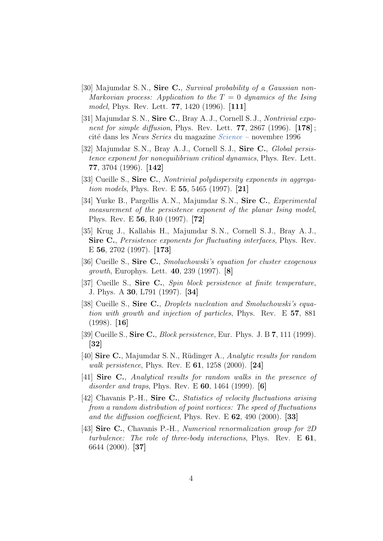- [30] Majumdar S.N., Sire C., Survival probability of a Gaussian non-Markovian process: Application to the  $T = 0$  dynamics of the Ising model, Phys. Rev. Lett. 77, 1420 (1996). [111]
- [31] Majumdar S. N., Sire C., Bray A. J., Cornell S. J., Nontrivial exponent for simple diffusion, Phys. Rev. Lett.  $77, 2867$  (1996).  $[178]$ ; cité dans les News Series du magazine [Science](http://www.lpt.ups-tlse.fr/IMG/pdf_persistence_science.pdf) – novembre 1996
- [32] Majumdar S. N., Bray A. J., Cornell S. J., Sire C., *Global persis*tence exponent for nonequilibrium critical dynamics, Phys. Rev. Lett. 77, 3704 (1996). [142]
- [33] Cueille S., Sire C., *Nontrivial polydispersity exponents in aggrega*tion models, Phys. Rev. E 55, 5465 (1997). [21]
- [34] Yurke B., Pargellis A. N., Majumdar S. N., Sire C., *Experimental* measurement of the persistence exponent of the planar Ising model, Phys. Rev. E 56, R40 (1997). [72]
- [35] Krug J., Kallabis H., Majumdar S. N., Cornell S. J., Bray A. J., Sire C., *Persistence exponents for fluctuating interfaces*, *Phys. Rev.* E 56, 2702 (1997). [173]
- [36] Cueille S., Sire C., Smoluchowski's equation for cluster exogenous growth, Europhys. Lett. 40, 239 (1997). [8]
- [37] Cueille S., Sire C., Spin block persistence at finite temperature, J. Phys. A 30, L791 (1997). [34]
- [38] Cueille S., Sire C., *Droplets nucleation and Smoluchowski's equa*tion with growth and injection of particles, Phys. Rev. E 57, 881  $(1998)$ . [16]
- [39] Cueille S., Sire C., *Block persistence*, Eur. Phys. J. B  $7$ , 111 (1999). [32]
- [40] Sire C., Majumdar S. N., Rüdinger A., Analytic results for random *walk persistence*, Phys. Rev. E  $61$ , 1258 (2000). [24]
- [41] Sire C., Analytical results for random walks in the presence of disorder and traps, Phys. Rev. E  $60$ , 1464 (1999). [6]
- [42] Chavanis P.-H., Sire C., Statistics of velocity fluctuations arising from a random distribution of point vortices: The speed of fluctuations and the diffusion coefficient, Phys. Rev. E  $62$ , 490 (2000). [33]
- [43] **Sire C.**, Chavanis P.-H., *Numerical renormalization group for 2D* turbulence: The role of three-body interactions, Phys. Rev. E 61, 6644 (2000). [37]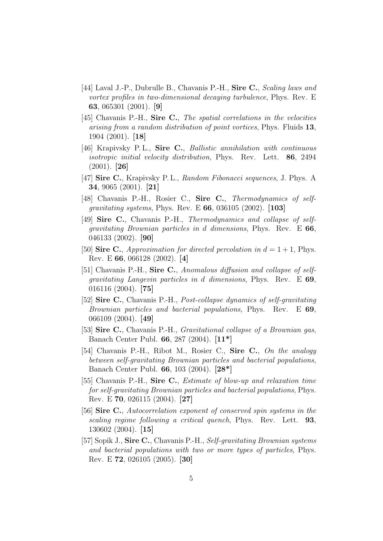- [44] Laval J.-P., Dubrulle B., Chavanis P.-H., Sire C., Scaling laws and vortex profiles in two-dimensional decaying turbulence, Phys. Rev. E 63, 065301 (2001). [9]
- [45] Chavanis P.-H., Sire C., The spatial correlations in the velocities arising from a random distribution of point vortices, Phys. Fluids 13, 1904 (2001). [18]
- [46] Krapivsky P.L., Sire C., *Ballistic annihilation with continuous* isotropic initial velocity distribution, Phys. Rev. Lett. 86, 2494  $(2001)$ . [26]
- [47] Sire C., Krapivsky P. L., Random Fibonacci sequences, J. Phys. A 34, 9065 (2001). [21]
- [48] Chavanis P.-H., Rosier C., Sire C., Thermodynamics of selfgravitating systems, Phys. Rev. E 66, 036105 (2002). [103]
- [49] **Sire C.**, Chavanis P.-H., Thermodynamics and collapse of selfgravitating Brownian particles in d dimensions, Phys. Rev. E 66, 046133 (2002). [90]
- [50] Sire C., Approximation for directed percolation in  $d = 1 + 1$ , Phys. Rev. E 66, 066128 (2002). [4]
- [51] Chavanis P.-H., Sire C., Anomalous diffusion and collapse of selfgravitating Langevin particles in d dimensions, Phys. Rev. E 69, 016116 (2004). [75]
- [52] Sire C., Chavanis P.-H., Post-collapse dynamics of self-gravitating Brownian particles and bacterial populations, Phys. Rev. E 69, 066109 (2004). [49]
- [53] Sire C., Chavanis P.-H., *Gravitational collapse of a Brownian gas*, Banach Center Publ. 66, 287 (2004). [11\*]
- [54] Chavanis P.-H., Ribot M., Rosier C., Sire C., On the analogy between self-gravitating Brownian particles and bacterial populations, Banach Center Publ. 66, 103 (2004). [28\*]
- [55] Chavanis P.-H., Sire C., Estimate of blow-up and relaxation time for self-gravitating Brownian particles and bacterial populations, Phys. Rev. E 70, 026115 (2004). [27]
- [56] Sire C., Autocorrelation exponent of conserved spin systems in the scaling regime following a critical quench, Phys. Rev. Lett. 93, 130602 (2004). [15]
- [57] Sopik J., Sire C., Chavanis P.-H., Self-gravitating Brownian systems and bacterial populations with two or more types of particles, Phys. Rev. E 72, 026105 (2005). [30]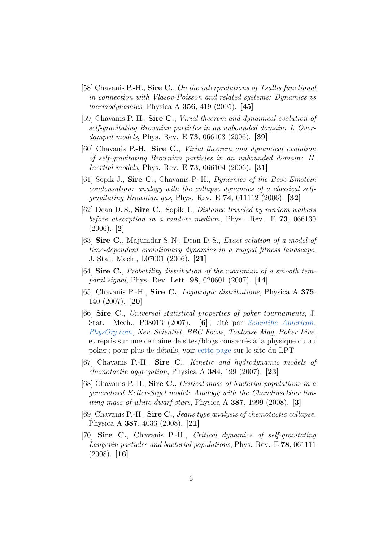- [58] Chavanis P.-H., Sire C., On the interpretations of Tsallis functional in connection with Vlasov-Poisson and related systems: Dynamics vs thermodynamics, Physica A  $356$ , 419 (2005). [45]
- [59] Chavanis P.-H., Sire C., Virial theorem and dynamical evolution of self-gravitating Brownian particles in an unbounded domain: I. Overdamped models, Phys. Rev. E **73**, 066103 (2006). [39]
- [60] Chavanis P.-H., Sire C., Virial theorem and dynamical evolution of self-gravitating Brownian particles in an unbounded domain: II. Inertial models, Phys. Rev. E 73, 066104 (2006). [31]
- [61] Sopik J., Sire C., Chavanis P.-H., Dynamics of the Bose-Einstein condensation: analogy with the collapse dynamics of a classical self*gravitating Brownian gas, Phys. Rev. E*  $74$ , 011112 (2006). [32]
- [62] Dean D. S., Sire C., Sopik J., Distance traveled by random walkers before absorption in a random medium, Phys. Rev. E 73, 066130 (2006). [2]
- [63] **Sire C.**, Majumdar S. N., Dean D. S., *Exact solution of a model of* time-dependent evolutionary dynamics in a rugged fitness landscape, J. Stat. Mech., L07001 (2006). [21]
- [64] Sire C., Probability distribution of the maximum of a smooth temporal signal, Phys. Rev. Lett. 98, 020601 (2007). [14]
- [65] Chavanis P.-H., Sire C., Logotropic distributions, Physica A 375, 140 (2007). [20]
- [66] Sire C., Universal statistical properties of poker tournaments, J. Stat. Mech., P08013 (2007).  $[6]$ ; cité par *[Scientific American](http://www.scientificamerican.com/article.cfm?id=physics-of-texas-hold-em-poker)*, [PhysOrg.com](http://www.physorg.com/news94907470.html), New Scientist, BBC Focus, Toulouse Mag, Poker Live, et repris sur une centaine de sites/blogs consacrés à la physique ou au poker; pour plus de détails, voir [cette page](http://www.lpt.ups-tlse.fr/spip.php?article239) sur le site du LPT
- [67] Chavanis P.-H., Sire C., Kinetic and hydrodynamic models of *chemotactic aggregation*, Physica A  $384$ , 199 (2007). [23]
- [68] Chavanis P.-H., Sire C., Critical mass of bacterial populations in a generalized Keller-Segel model: Analogy with the Chandrasekhar limiting mass of white dwarf stars, Physica A 387, 1999 (2008). [3]
- [69] Chavanis P.-H., Sire C., Jeans type analysis of chemotactic collapse, Physica A 387, 4033 (2008). [21]
- [70] Sire C., Chavanis P.-H., Critical dynamics of self-gravitating Langevin particles and bacterial populations, Phys. Rev. E 78, 061111  $(2008)$ . [16]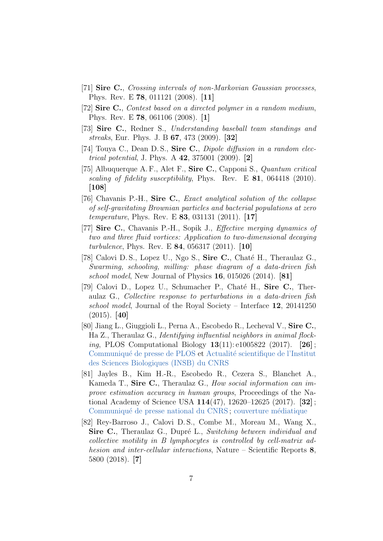- [71] Sire C., Crossing intervals of non-Markovian Gaussian processes, Phys. Rev. E 78, 011121 (2008). [11]
- [72] Sire C., Contest based on a directed polymer in a random medium, Phys. Rev. E 78, 061106 (2008). [1]
- [73] Sire C., Redner S., Understanding baseball team standings and streaks, Eur. Phys. J. B 67, 473 (2009). [32]
- [74] Touya C., Dean D.S., Sire C., *Dipole diffusion in a random elec*trical potential, J. Phys. A 42, 375001 (2009). [2]
- [75] Albuquerque A. F., Alet F., Sire C., Capponi S., Quantum critical scaling of fidelity susceptibility, Phys. Rev. E 81, 064418 (2010). [108]
- [76] Chavanis P.-H., Sire C., *Exact analytical solution of the collapse* of self-gravitating Brownian particles and bacterial populations at zero temperature, Phys. Rev. E 83, 031131 (2011). [17]
- [77] Sire C., Chavanis P.-H., Sopik J., *Effective merging dynamics of* two and three fluid vortices: Application to two-dimensional decaying turbulence, Phys. Rev. E 84, 056317 (2011). [10]
- [78] Calovi D. S., Lopez U., Ngo S., Sire C., Chaté H., Theraulaz G., Swarming, schooling, milling: phase diagram of a data-driven fish school model, New Journal of Physics  $16$ , 015026 (2014). [81]
- [79] Calovi D., Lopez U., Schumacher P., Chaté H., Sire C., Theraulaz G., Collective response to perturbations in a data-driven fish school model, Journal of the Royal Society – Interface 12, 20141250  $(2015)$ . [40]
- [80] Jiang L., Giuggioli L., Perna A., Escobedo R., Lecheval V., Sire C., Ha Z., Theraulaz G., Identifying influential neighbors in animal flock*ing*, PLOS Computational Biology  $13(11): e1005822$  (2017). [26]; Communiqué de presse de PLOS et Actualité scientifique de l'Institut [des Sciences Biologiques \(INSB\) du CNRS](http://www.cnrs.fr/insb/recherche/parutions/articles2017/g-theraulaz%20.html)
- [81] Jayles B., Kim H.-R., Escobedo R., Cezera S., Blanchet A., Kameda T., Sire C., Theraulaz G., How social information can improve estimation accuracy in human groups, Proceedings of the National Academy of Science USA 114(47), 12620–12625 (2017). [32] ; Communiqué de presse national du CNRS; couverture médiatique
- [82] Rey-Barroso J., Calovi D. S., Combe M., Moreau M., Wang X., Sire C., Theraulaz G., Dupré L., Switching between individual and collective motility in B lymphocytes is controlled by cell-matrix adhesion and inter-cellular interactions, Nature – Scientific Reports 8, 5800 (2018). [7]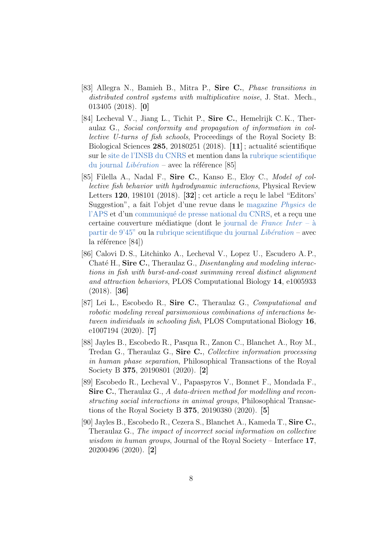- [83] Allegra N., Bamieh B., Mitra P., Sire C., Phase transitions in distributed control systems with multiplicative noise, J. Stat. Mech., 013405 (2018). [0]
- [84] Lecheval V., Jiang L., Tichit P., Sire C., Hemelrijk C. K., Theraulaz G., Social conformity and propagation of information in collective U-turns of fish schools, Proceedings of the Royal Society B: Biological Sciences  $285$ , 20180251 (2018). [11]; actualité scientifique sur le [site de l'INSB du CNRS](http://www.cnrs.fr/insb/recherche/parutions/articles2018/theraulaz-sire.html) et mention dans la [rubrique scientifique](http://www.liberation.fr/sciences/2018/05/19/les-mysteres-des-bancs-de-poissons-et-du-caca-poison_1650714) [du journal](http://www.liberation.fr/sciences/2018/05/19/les-mysteres-des-bancs-de-poissons-et-du-caca-poison_1650714)  $Libération$  – avec la référence [85]
- [85] Filella A., Nadal F., Sire C., Kanso E., Eloy C., Model of collective fish behavior with hydrodynamic interactions, Physical Review Letters  $120$ ,  $198101$   $(2018)$ .  $[32]$ ; cet article a reçu le label "Editors" Suggestion", a fait l'objet d'une revue dans le [magazine](https://physics.aps.org/articles/v11/46) Physics de [l'APS](https://physics.aps.org/articles/v11/46) et d'un communiqué de presse national du CNRS, et a reçu une certaine couverture médiatique (dont le journal de [France Inter](https://www.franceinter.fr/emissions/le-journal-de-7h30/le-journal-de-7h30-15-mai-2018) –  $\hat{a}$ partir de  $9'45''$  ou la [rubrique scientifique du journal](http://www.liberation.fr/sciences/2018/05/19/les-mysteres-des-bancs-de-poissons-et-du-caca-poison_1650714) Libération – avec la référence  $[84]$ )
- [86] Calovi D. S., Litchinko A., Lecheval V., Lopez U., Escudero A. P., Chaté H., Sire C., Theraulaz G., Disentangling and modeling interactions in fish with burst-and-coast swimming reveal distinct alignment and attraction behaviors, PLOS Computational Biology 14, e1005933 (2018). [36]
- [87] Lei L., Escobedo R., Sire C., Theraulaz G., Computational and robotic modeling reveal parsimonious combinations of interactions between individuals in schooling fish, PLOS Computational Biology 16, e1007194 (2020). [7]
- [88] Jayles B., Escobedo R., Pasqua R., Zanon C., Blanchet A., Roy M., Tredan G., Theraulaz G., Sire C., Collective information processing in human phase separation, Philosophical Transactions of the Royal Society B 375, 20190801 (2020). [2]
- [89] Escobedo R., Lecheval V., Papaspyros V., Bonnet F., Mondada F., Sire C., Theraulaz G., A data-driven method for modelling and reconstructing social interactions in animal groups, Philosophical Transactions of the Royal Society B 375, 20190380 (2020). [5]
- [90] Jayles B., Escobedo R., Cezera S., Blanchet A., Kameda T., Sire C., Theraulaz G., The impact of incorrect social information on collective wisdom in human groups, Journal of the Royal Society – Interface 17, 20200496 (2020). [2]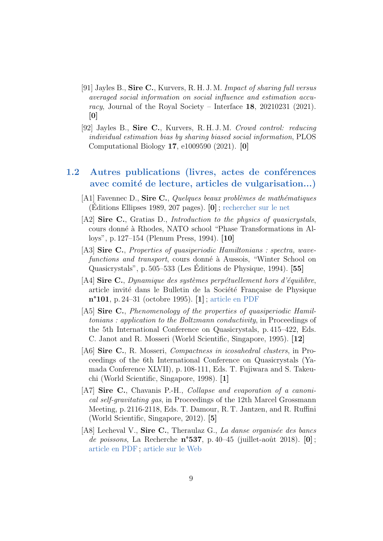- [91] Jayles B., Sire C., Kurvers, R. H. J. M. Impact of sharing full versus averaged social information on social influence and estimation accuracy, Journal of the Royal Society – Interface  $18$ , 20210231 (2021). [0]
- [92] Jayles B., Sire C., Kurvers, R.H.J.M. Crowd control: reducing individual estimation bias by sharing biased social information, PLOS Computational Biology 17, e1009590 (2021). [0]

### 1.2 Autres publications (livres, actes de conférences avec comité de lecture, articles de vulgarisation...)

- [A1] Favennec D., Sire C., Quelques beaux problèmes de mathématiques  $(Editions$  Ellipses 1989, 207 pages).  $[0]$ ; [rechercher sur le net](https://www.google.com/search?client=firefox-b-d&q=Quelques+beaux+problemes+de+mathematiques+favennec+sire)
- [A2] Sire C., Gratias D., *Introduction to the physics of quasicrystals*, cours donné à Rhodes, NATO school "Phase Transformations in Alloys", p. 127–154 (Plenum Press, 1994). [10]
- [A3] **Sire C.**, Properties of quasiperiodic Hamiltonians : spectra, wavefunctions and transport, cours donné à Aussois, "Winter School on Quasicrystals", p.  $505-533$  (Les Éditions de Physique, 1994).  $[55]$
- [A4] Sire C., Dynamique des systèmes perpétuellement hors d'équilibre, article invité dans le Bulletin de la Société Française de Physique n°101, p. 24–31 (octobre 1995). [1] ; [article en PDF](http://www.lpt.ups-tlse.fr/spip.php?action=acceder_document&arg=2448&cle=279fd8911b07875aa59e989bfdc1fc9aaf9aceec&file=pdf%2FSire_-_SFP_1995.pdf)
- [A5] Sire C., Phenomenology of the properties of quasiperiodic Hamiltonians : application to the Boltzmann conductivity, in Proceedings of the 5th International Conference on Quasicrystals, p. 415–422, Eds. C. Janot and R. Mosseri (World Scientific, Singapore, 1995). [12]
- [A6] **Sire C.**, R. Mosseri, *Compactness in icosahedral clusters*, in Proceedings of the 6th International Conference on Quasicrystals (Yamada Conference XLVII), p. 108-111, Eds. T. Fujiwara and S. Takeuchi (World Scientific, Singapore, 1998). [1]
- [A7] Sire C., Chavanis P.-H., *Collapse and evaporation of a canoni*cal self-gravitating gas, in Proceedings of the 12th Marcel Grossmann Meeting, p. 2116-2118, Eds. T. Damour, R. T. Jantzen, and R. Ruffini (World Scientific, Singapore, 2012). [5]
- [A8] Lecheval V., Sire C., Theraulaz G., La danse organisée des bancs de poissons, La Recherche  $n^{\circ}537$ , p. 40–45 (juillet-août 2018). [0]; [article en PDF](http://www.lpt.ups-tlse.fr/spip.php?action=acceder_document&arg=2360&cle=ac0e014dcb735e6e40602fb44f47c112f49bdd6c&file=pdf%2FLa_Recherche_Juillet_2018.pdf) ; [article sur le Web](https://www.larecherche.fr/la-danse-organis%C3%A9e-des-bancs-de-poissons)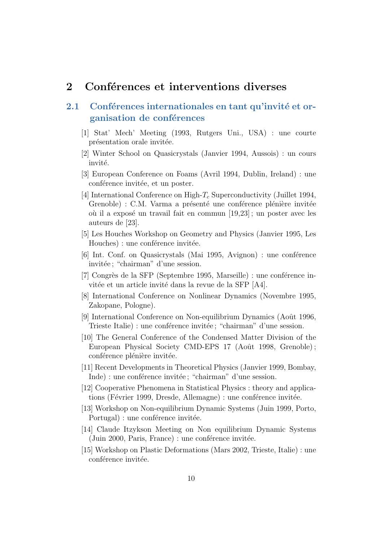## 2 Conférences et interventions diverses

### 2.1 Conférences internationales en tant qu'invité et organisation de conférences

- [1] Stat' Mech' Meeting (1993, Rutgers Uni., USA) : une courte présentation orale invitée.
- [2] Winter School on Quasicrystals (Janvier 1994, Aussois) : un cours invité.
- [3] European Conference on Foams (Avril 1994, Dublin, Ireland) : une conférence invitée, et un poster.
- [4] International Conference on High- $T_c$  Superconductivity (Juillet 1994, Grenoble) : C.M. Varma a présenté une conférence plénière invitée où il a exposé un travail fait en commun  $[19,23]$ ; un poster avec les auteurs de [23].
- [5] Les Houches Workshop on Geometry and Physics (Janvier 1995, Les Houches) : une conférence invitée.
- [6] Int. Conf. on Quasicrystals (Mai 1995, Avignon) : une conference invitée ; "chairman" d'une session.
- [7] Congrès de la SFP (Septembre 1995, Marseille) : une conférence invitée et un article invité dans la revue de la SFP [A4].
- [8] International Conference on Nonlinear Dynamics (Novembre 1995, Zakopane, Pologne).
- [9] International Conference on Non-equilibrium Dynamics (Août 1996, Trieste Italie) : une conférence invitée ; "chairman" d'une session.
- [10] The General Conference of the Condensed Matter Division of the European Physical Society CMD-EPS 17 (Août 1998, Grenoble); conférence plénière invitée.
- [11] Recent Developments in Theoretical Physics (Janvier 1999, Bombay, Inde) : une conférence invitée ; "chairman" d'une session.
- [12] Cooperative Phenomena in Statistical Physics : theory and applications (Février 1999, Dresde, Allemagne) : une conférence invitée.
- [13] Workshop on Non-equilibrium Dynamic Systems (Juin 1999, Porto, Portugal) : une conférence invitée.
- [14] Claude Itzykson Meeting on Non equilibrium Dynamic Systems  $(Juin 2000, Paris, France)$ : une conférence invitée.
- [15] Workshop on Plastic Deformations (Mars 2002, Trieste, Italie) : une conférence invitée.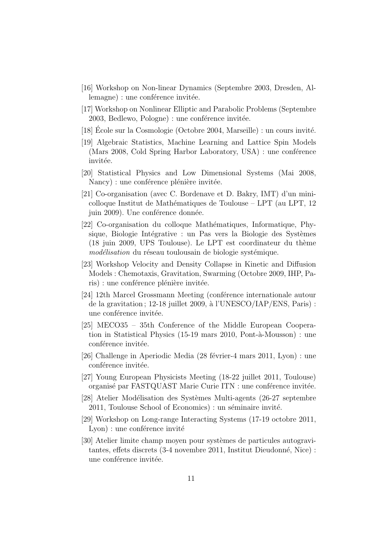- [16] Workshop on Non-linear Dynamics (Septembre 2003, Dresden, Allemagne) : une conférence invitée.
- [17] Workshop on Nonlinear Elliptic and Parabolic Problems (Septembre  $2003$ , Bedlewo, Pologne) : une conférence invitée.
- [18] Ecole sur la Cosmologie (Octobre 2004, Marseille) : un cours invité.
- [19] Algebraic Statistics, Machine Learning and Lattice Spin Models  $(Mars 2008, Cold Spring Harbor Laboratory, USA)$ : une conférence invitée.
- [20] Statistical Physics and Low Dimensional Systems (Mai 2008, Nancy) : une conférence plénière invitée.
- [21] Co-organisation (avec C. Bordenave et D. Bakry, IMT) d'un minicolloque Institut de Mathématiques de Toulouse – LPT (au LPT, 12 juin 2009). Une conférence donnée.
- [22] Co-organisation du colloque Mathématiques, Informatique, Physique, Biologie Intégrative : un Pas vers la Biologie des Systèmes  $(18 \text{ juin } 2009, \text{ UPS}$  Toulouse). Le LPT est coordinateur du thème modélisation du réseau toulousain de biologie systémique.
- [23] Workshop Velocity and Density Collapse in Kinetic and Diffusion Models : Chemotaxis, Gravitation, Swarming (Octobre 2009, IHP, Paris) : une conférence plénière invitée.
- $[24]$  12th Marcel Grossmann Meeting (conference internationale autour de la gravitation;  $12-18$  juillet  $2009$ , à l'UNESCO/IAP/ENS, Paris): une conférence invitée.
- [25] MECO35 35th Conference of the Middle European Cooperation in Statistical Physics  $(15-19 \text{ mars } 2010, \text{ Pont-à-Mousson})$ : une conférence invitée.
- [26] Challenge in Aperiodic Media (28 février-4 mars 2011, Lyon) : une conférence invitée.
- [27] Young European Physicists Meeting (18-22 juillet 2011, Toulouse) organisé par FASTQUAST Marie Curie ITN : une conférence invitée.
- [28] Atelier Modélisation des Systèmes Multi-agents (26-27 septembre  $2011$ , Toulouse School of Economics) : un séminaire invité.
- [29] Workshop on Long-range Interacting Systems (17-19 octobre 2011,  $L$ von) : une conférence invité
- [30] Atelier limite champ moyen pour systèmes de particules autogravitantes, effets discrets (3-4 novembre 2011, Institut Dieudonné, Nice) : une conférence invitée.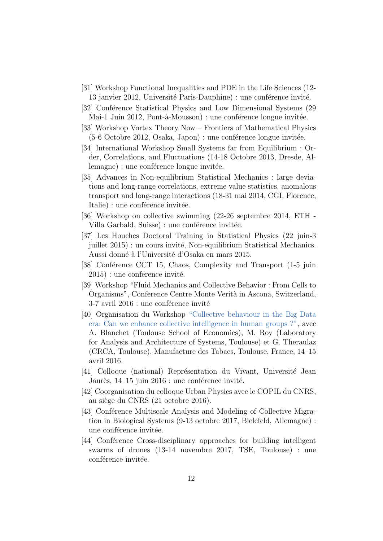- [31] Workshop Functional Inequalities and PDE in the Life Sciences (12- 13 janvier 2012, Université Paris-Dauphine) : une conférence invité.
- [32] Conférence Statistical Physics and Low Dimensional Systems (29) Mai-1 Juin 2012, Pont-à-Mousson) : une conférence longue invitée.
- [33] Workshop Vortex Theory Now Frontiers of Mathematical Physics  $(5-6$  Octobre 2012, Osaka, Japon) : une conference longue invitée.
- [34] International Workshop Small Systems far from Equilibrium : Order, Correlations, and Fluctuations (14-18 Octobre 2013, Dresde, Allemagne) : une conférence longue invitée.
- [35] Advances in Non-equilibrium Statistical Mechanics : large deviations and long-range correlations, extreme value statistics, anomalous transport and long-range interactions (18-31 mai 2014, CGI, Florence, Italie) : une conférence invitée.
- [36] Workshop on collective swimming (22-26 septembre 2014, ETH Villa Garbald, Suisse) : une conférence invitée.
- [37] Les Houches Doctoral Training in Statistical Physics (22 juin-3 juillet 2015) : un cours invité, Non-equilibrium Statistical Mechanics. Aussi donné à l'Université d'Osaka en mars 2015.
- [38] Conférence CCT 15, Chaos, Complexity and Transport (1-5 juin  $2015$ ) : une conférence invité.
- [39] Workshop "Fluid Mechanics and Collective Behavior : From Cells to Organisms", Conference Centre Monte Verità in Ascona, Switzerland,  $3-7$  avril  $2016$ : une conférence invité
- [40] Organisation du Workshop ["Collective behaviour in the Big Data](http://www.iast.fr/conference/collective-behaviour-big-data-era-can-we-enhance-collective-intelligence-human-groups) [era: Can we enhance collective intelligence in human groups ?",](http://www.iast.fr/conference/collective-behaviour-big-data-era-can-we-enhance-collective-intelligence-human-groups) avec A. Blanchet (Toulouse School of Economics), M. Roy (Laboratory for Analysis and Architecture of Systems, Toulouse) et G. Theraulaz (CRCA, Toulouse), Manufacture des Tabacs, Toulouse, France, 14–15 avril 2016.
- [41] Colloque (national) Représentation du Vivant, Université Jean Jaurès,  $14-15$  juin  $2016$  : une conférence invité.
- [42] Coorganisation du colloque Urban Physics avec le COPIL du CNRS, au siège du CNRS (21 octobre 2016).
- [43] Conférence Multiscale Analysis and Modeling of Collective Migration in Biological Systems (9-13 octobre 2017, Bielefeld, Allemagne) : une conférence invitée.
- [44] Conférence Cross-disciplinary approaches for building intelligent swarms of drones (13-14 novembre 2017, TSE, Toulouse) : une conférence invitée.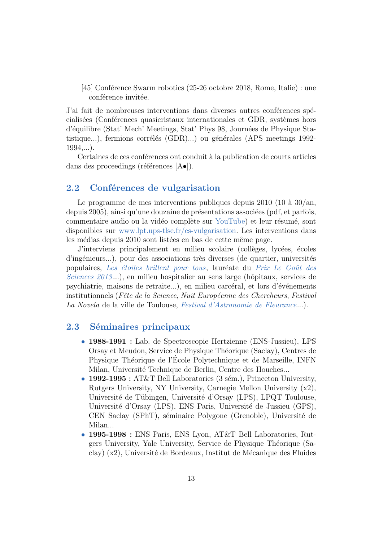[45] Conférence Swarm robotics (25-26 octobre 2018, Rome, Italie) : une conférence invitée.

J'ai fait de nombreuses interventions dans diverses autres conférences spécialisées (Conférences quasicristaux internationales et GDR, systèmes hors d'´equilibre (Stat' Mech' Meetings, Stat' Phys 98, Journ´ees de Physique Statistique...), fermions corrélés (GDR)...) ou générales (APS meetings 1992- $1994,...$ ).

Certaines de ces conférences ont conduit à la publication de courts articles dans des proceedings (références  $[A\bullet]$ ).

#### 2.2 Conférences de vulgarisation

Le programme de mes interventions publiques depuis  $2010$  (10 à  $30/\text{an}$ , depuis 2005), ainsi qu'une douzaine de présentations associées (pdf, et parfois, commentaire audio ou la vidéo complète sur [YouTube\)](https://www.youtube.com/results?search_query=clement+sire) et leur résumé, sont disponibles sur [www.lpt.ups-tlse.fr/cs-vulgarisation.](http://www.lpt.ups-tlse.fr/cs-vulgarisation) Les interventions dans les médias depuis 2010 sont listées en bas de cette même page.

J'interviens principalement en milieu scolaire (collèges, lycées, écoles d'ingénieurs...), pour des associations très diverses (de quartier, universités populaires, Les étoiles brillent pour tous, lauréate du Prix Le Goût des [Sciences 2013](http://www.cnrs.fr/inp/spip.php?article2147)...), en milieu hospitalier au sens large (hôpitaux, services de psychiatrie, maisons de retraite...), en milieu carcéral, et lors d'événements institutionnels (Fête de la Science, Nuit Européenne des Chercheurs, Festival La Novela de la ville de Toulouse, [Festival d'Astronomie de Fleurance](http://www.festival-astronomie.com/)...).

#### 2.3 Séminaires principaux

- 1988-1991 : Lab. de Spectroscopie Hertzienne (ENS-Jussieu), LPS Orsay et Meudon, Service de Physique Théorique (Saclay), Centres de Physique Théorique de l'École Polytechnique et de Marseille, INFN Milan, Université Technique de Berlin, Centre des Houches...
- 1992-1995 : AT&T Bell Laboratories  $(3 \text{ sém.})$ , Princeton University, Rutgers University, NY University, Carnegie Mellon University (x2), Université de Tübingen, Université d'Orsay (LPS), LPQT Toulouse, Université d'Orsay (LPS), ENS Paris, Université de Jussieu (GPS), CEN Saclay (SPhT), séminaire Polygone (Grenoble), Université de Milan...
- 1995-1998 : ENS Paris, ENS Lyon, AT&T Bell Laboratories, Rutgers University, Yale University, Service de Physique Théorique (Saclay) (x2), Université de Bordeaux, Institut de Mécanique des Fluides